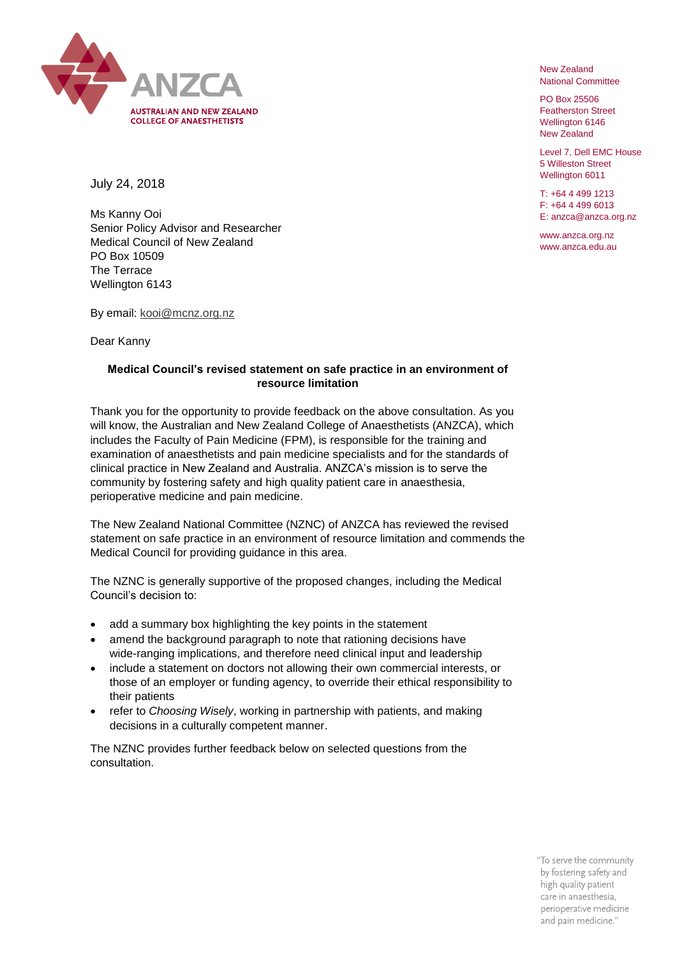

New Zealand National Committee

PO Box 25506 Featherston Street Wellington 6146 New Zealand

Level 7, Dell EMC House 5 Willeston Street Wellington 6011

T: +64 4 499 1213 F: +64 4 499 6013 E: anzca@anzca.org.nz

www.anzca.org.nz www.anzca.edu.au

July 24, 2018

Ms Kanny Ooi Senior Policy Advisor and Researcher Medical Council of New Zealand PO Box 10509 The Terrace Wellington 6143

By email: [kooi@mcnz.org.nz](mailto:kooi@mcnz.org.nz)

Dear Kanny

## **Medical Council's revised statement on safe practice in an environment of resource limitation**

Thank you for the opportunity to provide feedback on the above consultation. As you will know, the Australian and New Zealand College of Anaesthetists (ANZCA), which includes the Faculty of Pain Medicine (FPM), is responsible for the training and examination of anaesthetists and pain medicine specialists and for the standards of clinical practice in New Zealand and Australia. ANZCA's mission is to serve the community by fostering safety and high quality patient care in anaesthesia, perioperative medicine and pain medicine.

The New Zealand National Committee (NZNC) of ANZCA has reviewed the revised statement on safe practice in an environment of resource limitation and commends the Medical Council for providing guidance in this area.

The NZNC is generally supportive of the proposed changes, including the Medical Council's decision to:

- add a summary box highlighting the key points in the statement
- amend the background paragraph to note that rationing decisions have wide-ranging implications, and therefore need clinical input and leadership
- include a statement on doctors not allowing their own commercial interests, or those of an employer or funding agency, to override their ethical responsibility to their patients
- refer to *Choosing Wisely*, working in partnership with patients, and making decisions in a culturally competent manner.

The NZNC provides further feedback below on selected questions from the consultation.

> "To serve the community by fostering safety and high quality patient care in anaesthesia, perioperative medicine and pain medicine."